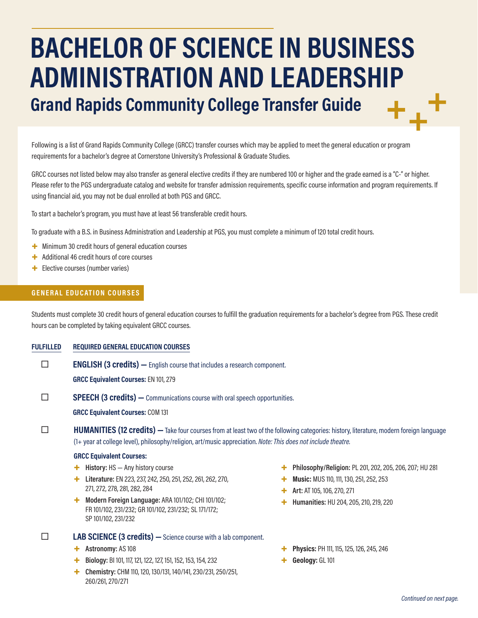# **BACHELOR OF SCIENCE IN BUSINESS ADMINISTRATION AND LEADERSHIP Grand Rapids Community College Transfer Guide**

Following is a list of Grand Rapids Community College (GRCC) transfer courses which may be applied to meet the general education or program requirements for a bachelor's degree at Cornerstone University's Professional & Graduate Studies.

GRCC courses not listed below may also transfer as general elective credits if they are numbered 100 or higher and the grade earned is a "C-" or higher. Please refer to the PGS undergraduate catalog and website for transfer admission requirements, specific course information and program requirements. If using financial aid, you may not be dual enrolled at both PGS and GRCC.

To start a bachelor's program, you must have at least 56 transferable credit hours.

To graduate with a B.S. in Business Administration and Leadership at PGS, you must complete a minimum of 120 total credit hours.

- + Minimum 30 credit hours of general education courses
- + Additional 46 credit hours of core courses
- + Elective courses (number varies)

# **GENERAL EDUCATION COURSES**

Students must complete 30 credit hours of general education courses to fulfill the graduation requirements for a bachelor's degree from PGS. These credit hours can be completed by taking equivalent GRCC courses.

### **FULFILLED REQUIRED GENERAL EDUCATION COURSES**

**ENGLISH (3 credits)** — English course that includes a research component.

**GRCC Equivalent Courses:** EN 101, 279

**SPEECH (3 credits)** — Communications course with oral speech opportunities.

**GRCC Equivalent Courses:** COM 131

# **HUMANITIES (12 credits)** — Take four courses from at least two of the following categories: history, literature, modern foreign language (1+ year at college level), philosophy/religion, art/music appreciation. *Note: This does not include theatre.*

### **GRCC Equivalent Courses:**

- + **History:** HS Any history course
- + **Literature:** EN 223, 237, 242, 250, 251, 252, 261, 262, 270, 271, 272, 278, 281, 282, 284
- + **Modern Foreign Language:** ARA 101/102; CHI 101/102; FR 101/102, 231/232; GR 101/102, 231/232; SL 171/172; SP 101/102, 231/232

# **LAB SCIENCE (3 credits) —**Science course with a lab component.

- + **Astronomy:** AS 108
- + **Biology:** BI 101, 117, 121, 122, 127, 151, 152, 153, 154, 232
- + **Chemistry:** CHM 110, 120, 130/131, 140/141, 230/231, 250/251, 260/261, 270/271
- + **Philosophy/Religion:** PL 201, 202, 205, 206, 207; HU 281
- **Music: MUS 110, 111, 130, 251, 252, 253**
- + **Art:** AT 105, 106, 270, 271
- + **Humanities:** HU 204, 205, 210, 219, 220
- + **Physics:** PH 111, 115, 125, 126, 245, 246
- + **Geology:** GL 101